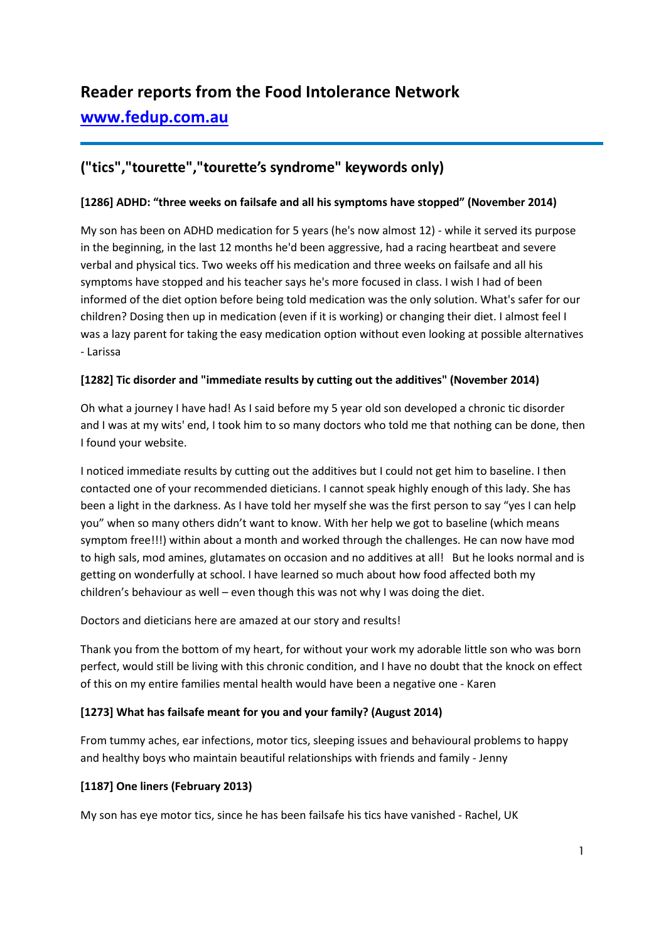# **Reader reports from the Food Intolerance Network [www.fedup.com.au](http://www.fedup.com.au/)**

# **("tics","tourette","tourette's syndrome" keywords only)**

#### **[1286] ADHD: "three weeks on failsafe and all his symptoms have stopped" (November 2014)**

My son has been on ADHD medication for 5 years (he's now almost 12) - while it served its purpose in the beginning, in the last 12 months he'd been aggressive, had a racing heartbeat and severe verbal and physical tics. Two weeks off his medication and three weeks on failsafe and all his symptoms have stopped and his teacher says he's more focused in class. I wish I had of been informed of the diet option before being told medication was the only solution. What's safer for our children? Dosing then up in medication (even if it is working) or changing their diet. I almost feel I was a lazy parent for taking the easy medication option without even looking at possible alternatives - Larissa

# **[1282] Tic disorder and "immediate results by cutting out the additives" (November 2014)**

Oh what a journey I have had! As I said before my 5 year old son developed a chronic tic disorder and I was at my wits' end, I took him to so many doctors who told me that nothing can be done, then I found your website.

I noticed immediate results by cutting out the additives but I could not get him to baseline. I then contacted one of your recommended dieticians. I cannot speak highly enough of this lady. She has been a light in the darkness. As I have told her myself she was the first person to say "yes I can help you" when so many others didn't want to know. With her help we got to baseline (which means symptom free!!!) within about a month and worked through the challenges. He can now have mod to high sals, mod amines, glutamates on occasion and no additives at all! But he looks normal and is getting on wonderfully at school. I have learned so much about how food affected both my children's behaviour as well – even though this was not why I was doing the diet.

Doctors and dieticians here are amazed at our story and results!

Thank you from the bottom of my heart, for without your work my adorable little son who was born perfect, would still be living with this chronic condition, and I have no doubt that the knock on effect of this on my entire families mental health would have been a negative one - Karen

#### **[1273] What has failsafe meant for you and your family? (August 2014)**

From tummy aches, ear infections, motor tics, sleeping issues and behavioural problems to happy and healthy boys who maintain beautiful relationships with friends and family - Jenny

# **[1187] One liners (February 2013)**

My son has eye motor tics, since he has been failsafe his tics have vanished - Rachel, UK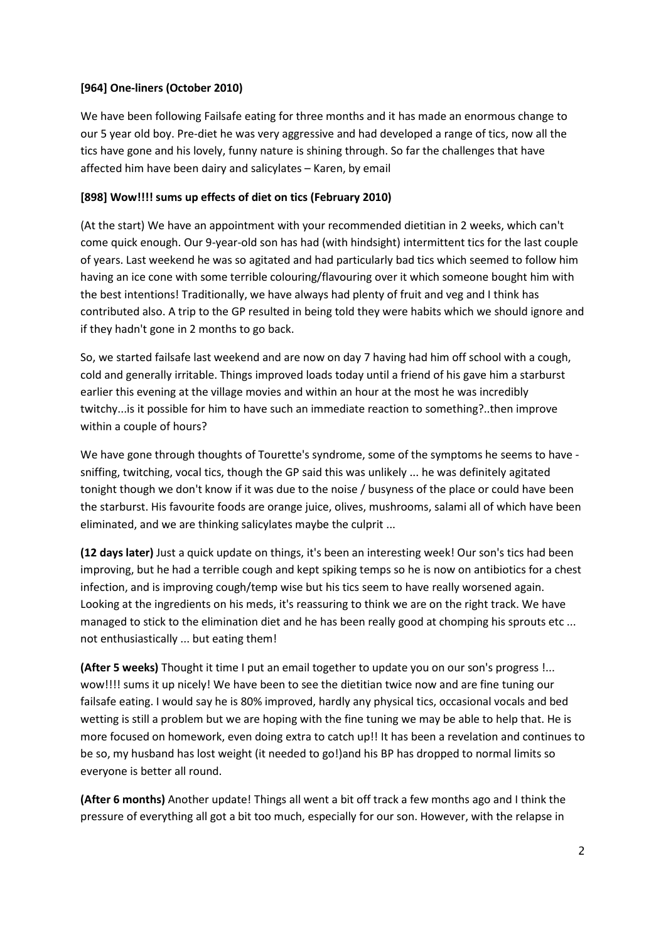# **[964] One-liners (October 2010)**

We have been following Failsafe eating for three months and it has made an enormous change to our 5 year old boy. Pre-diet he was very aggressive and had developed a range of tics, now all the tics have gone and his lovely, funny nature is shining through. So far the challenges that have affected him have been dairy and salicylates – Karen, by email

# **[898] Wow!!!! sums up effects of diet on tics (February 2010)**

(At the start) We have an appointment with your recommended dietitian in 2 weeks, which can't come quick enough. Our 9-year-old son has had (with hindsight) intermittent tics for the last couple of years. Last weekend he was so agitated and had particularly bad tics which seemed to follow him having an ice cone with some terrible colouring/flavouring over it which someone bought him with the best intentions! Traditionally, we have always had plenty of fruit and veg and I think has contributed also. A trip to the GP resulted in being told they were habits which we should ignore and if they hadn't gone in 2 months to go back.

So, we started failsafe last weekend and are now on day 7 having had him off school with a cough, cold and generally irritable. Things improved loads today until a friend of his gave him a starburst earlier this evening at the village movies and within an hour at the most he was incredibly twitchy...is it possible for him to have such an immediate reaction to something?..then improve within a couple of hours?

We have gone through thoughts of Tourette's syndrome, some of the symptoms he seems to have sniffing, twitching, vocal tics, though the GP said this was unlikely ... he was definitely agitated tonight though we don't know if it was due to the noise / busyness of the place or could have been the starburst. His favourite foods are orange juice, olives, mushrooms, salami all of which have been eliminated, and we are thinking salicylates maybe the culprit ...

**(12 days later)** Just a quick update on things, it's been an interesting week! Our son's tics had been improving, but he had a terrible cough and kept spiking temps so he is now on antibiotics for a chest infection, and is improving cough/temp wise but his tics seem to have really worsened again. Looking at the ingredients on his meds, it's reassuring to think we are on the right track. We have managed to stick to the elimination diet and he has been really good at chomping his sprouts etc ... not enthusiastically ... but eating them!

**(After 5 weeks)** Thought it time I put an email together to update you on our son's progress !... wow!!!! sums it up nicely! We have been to see the dietitian twice now and are fine tuning our failsafe eating. I would say he is 80% improved, hardly any physical tics, occasional vocals and bed wetting is still a problem but we are hoping with the fine tuning we may be able to help that. He is more focused on homework, even doing extra to catch up!! It has been a revelation and continues to be so, my husband has lost weight (it needed to go!)and his BP has dropped to normal limits so everyone is better all round.

**(After 6 months)** Another update! Things all went a bit off track a few months ago and I think the pressure of everything all got a bit too much, especially for our son. However, with the relapse in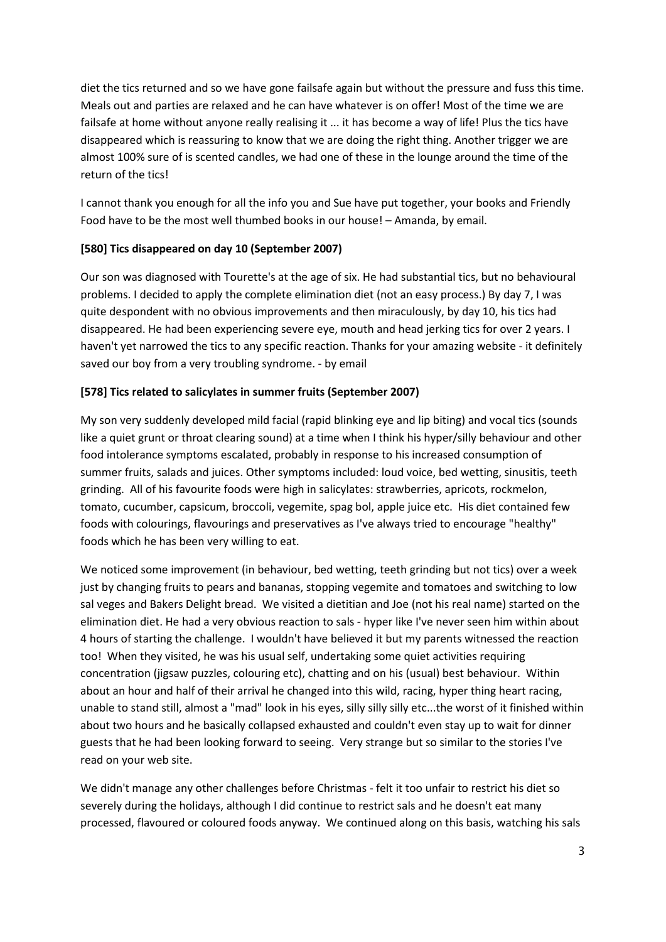diet the tics returned and so we have gone failsafe again but without the pressure and fuss this time. Meals out and parties are relaxed and he can have whatever is on offer! Most of the time we are failsafe at home without anyone really realising it ... it has become a way of life! Plus the tics have disappeared which is reassuring to know that we are doing the right thing. Another trigger we are almost 100% sure of is scented candles, we had one of these in the lounge around the time of the return of the tics!

I cannot thank you enough for all the info you and Sue have put together, your books and Friendly Food have to be the most well thumbed books in our house! – Amanda, by email.

# **[580] Tics disappeared on day 10 (September 2007)**

Our son was diagnosed with Tourette's at the age of six. He had substantial tics, but no behavioural problems. I decided to apply the complete elimination diet (not an easy process.) By day 7, I was quite despondent with no obvious improvements and then miraculously, by day 10, his tics had disappeared. He had been experiencing severe eye, mouth and head jerking tics for over 2 years. I haven't yet narrowed the tics to any specific reaction. Thanks for your amazing website - it definitely saved our boy from a very troubling syndrome. - by email

# **[578] Tics related to salicylates in summer fruits (September 2007)**

My son very suddenly developed mild facial (rapid blinking eye and lip biting) and vocal tics (sounds like a quiet grunt or throat clearing sound) at a time when I think his hyper/silly behaviour and other food intolerance symptoms escalated, probably in response to his increased consumption of summer fruits, salads and juices. Other symptoms included: loud voice, bed wetting, sinusitis, teeth grinding. All of his favourite foods were high in salicylates: strawberries, apricots, rockmelon, tomato, cucumber, capsicum, broccoli, vegemite, spag bol, apple juice etc. His diet contained few foods with colourings, flavourings and preservatives as I've always tried to encourage "healthy" foods which he has been very willing to eat.

We noticed some improvement (in behaviour, bed wetting, teeth grinding but not tics) over a week just by changing fruits to pears and bananas, stopping vegemite and tomatoes and switching to low sal veges and Bakers Delight bread. We visited a dietitian and Joe (not his real name) started on the elimination diet. He had a very obvious reaction to sals - hyper like I've never seen him within about 4 hours of starting the challenge. I wouldn't have believed it but my parents witnessed the reaction too! When they visited, he was his usual self, undertaking some quiet activities requiring concentration (jigsaw puzzles, colouring etc), chatting and on his (usual) best behaviour. Within about an hour and half of their arrival he changed into this wild, racing, hyper thing heart racing, unable to stand still, almost a "mad" look in his eyes, silly silly silly etc...the worst of it finished within about two hours and he basically collapsed exhausted and couldn't even stay up to wait for dinner guests that he had been looking forward to seeing. Very strange but so similar to the stories I've read on your web site.

We didn't manage any other challenges before Christmas - felt it too unfair to restrict his diet so severely during the holidays, although I did continue to restrict sals and he doesn't eat many processed, flavoured or coloured foods anyway. We continued along on this basis, watching his sals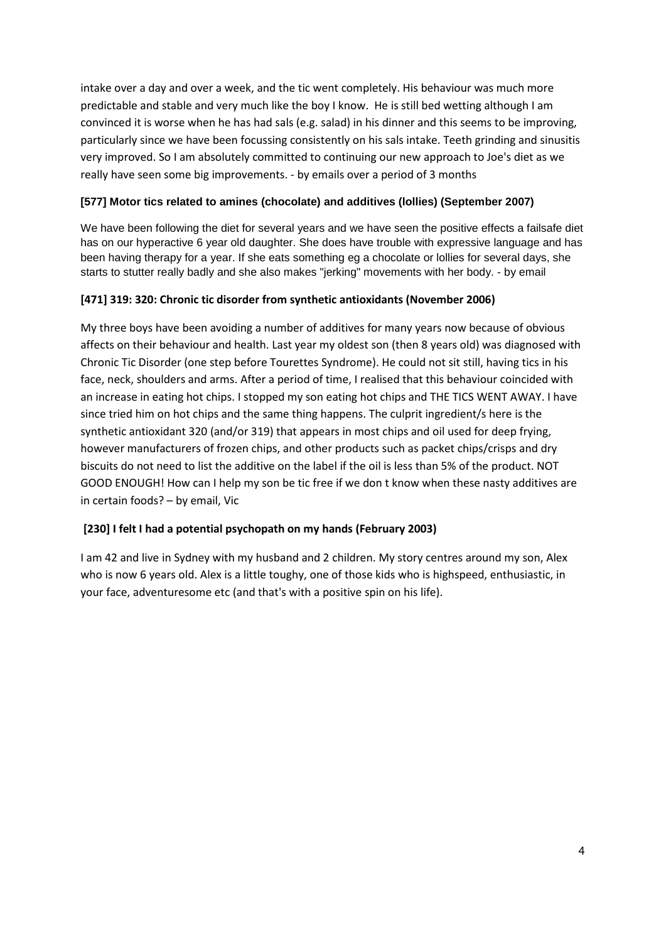intake over a day and over a week, and the tic went completely. His behaviour was much more predictable and stable and very much like the boy I know. He is still bed wetting although I am convinced it is worse when he has had sals (e.g. salad) in his dinner and this seems to be improving, particularly since we have been focussing consistently on his sals intake. Teeth grinding and sinusitis very improved. So I am absolutely committed to continuing our new approach to Joe's diet as we really have seen some big improvements. - by emails over a period of 3 months

# **[577] Motor tics related to amines (chocolate) and additives (lollies) (September 2007)**

We have been following the diet for several years and we have seen the positive effects a failsafe diet has on our hyperactive 6 year old daughter. She does have trouble with expressive language and has been having therapy for a year. If she eats something eg a chocolate or lollies for several days, she starts to stutter really badly and she also makes "jerking" movements with her body. - by email

# **[471] 319: 320: Chronic tic disorder from synthetic antioxidants (November 2006)**

My three boys have been avoiding a number of additives for many years now because of obvious affects on their behaviour and health. Last year my oldest son (then 8 years old) was diagnosed with Chronic Tic Disorder (one step before Tourettes Syndrome). He could not sit still, having tics in his face, neck, shoulders and arms. After a period of time, I realised that this behaviour coincided with an increase in eating hot chips. I stopped my son eating hot chips and THE TICS WENT AWAY. I have since tried him on hot chips and the same thing happens. The culprit ingredient/s here is the synthetic antioxidant 320 (and/or 319) that appears in most chips and oil used for deep frying, however manufacturers of frozen chips, and other products such as packet chips/crisps and dry biscuits do not need to list the additive on the label if the oil is less than 5% of the product. NOT GOOD ENOUGH! How can I help my son be tic free if we don t know when these nasty additives are in certain foods? – by email, Vic

# **[230] I felt I had a potential psychopath on my hands (February 2003)**

I am 42 and live in Sydney with my husband and 2 children. My story centres around my son, Alex who is now 6 years old. Alex is a little toughy, one of those kids who is highspeed, enthusiastic, in your face, adventuresome etc (and that's with a positive spin on his life).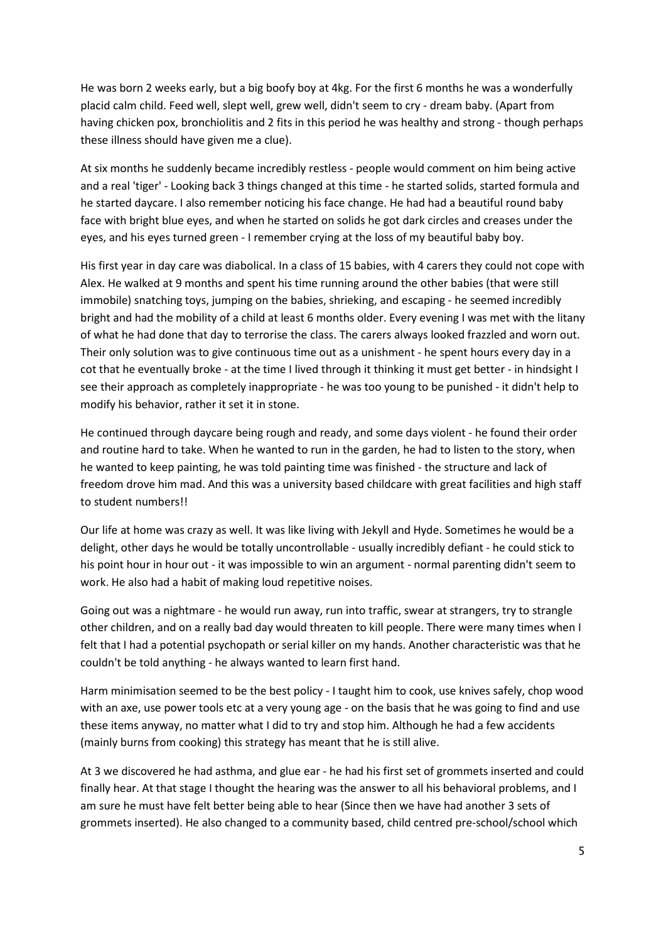He was born 2 weeks early, but a big boofy boy at 4kg. For the first 6 months he was a wonderfully placid calm child. Feed well, slept well, grew well, didn't seem to cry - dream baby. (Apart from having chicken pox, bronchiolitis and 2 fits in this period he was healthy and strong - though perhaps these illness should have given me a clue).

At six months he suddenly became incredibly restless - people would comment on him being active and a real 'tiger' - Looking back 3 things changed at this time - he started solids, started formula and he started daycare. I also remember noticing his face change. He had had a beautiful round baby face with bright blue eyes, and when he started on solids he got dark circles and creases under the eyes, and his eyes turned green - I remember crying at the loss of my beautiful baby boy.

His first year in day care was diabolical. In a class of 15 babies, with 4 carers they could not cope with Alex. He walked at 9 months and spent his time running around the other babies (that were still immobile) snatching toys, jumping on the babies, shrieking, and escaping - he seemed incredibly bright and had the mobility of a child at least 6 months older. Every evening I was met with the litany of what he had done that day to terrorise the class. The carers always looked frazzled and worn out. Their only solution was to give continuous time out as a unishment - he spent hours every day in a cot that he eventually broke - at the time I lived through it thinking it must get better - in hindsight I see their approach as completely inappropriate - he was too young to be punished - it didn't help to modify his behavior, rather it set it in stone.

He continued through daycare being rough and ready, and some days violent - he found their order and routine hard to take. When he wanted to run in the garden, he had to listen to the story, when he wanted to keep painting, he was told painting time was finished - the structure and lack of freedom drove him mad. And this was a university based childcare with great facilities and high staff to student numbers!!

Our life at home was crazy as well. It was like living with Jekyll and Hyde. Sometimes he would be a delight, other days he would be totally uncontrollable - usually incredibly defiant - he could stick to his point hour in hour out - it was impossible to win an argument - normal parenting didn't seem to work. He also had a habit of making loud repetitive noises.

Going out was a nightmare - he would run away, run into traffic, swear at strangers, try to strangle other children, and on a really bad day would threaten to kill people. There were many times when I felt that I had a potential psychopath or serial killer on my hands. Another characteristic was that he couldn't be told anything - he always wanted to learn first hand.

Harm minimisation seemed to be the best policy - I taught him to cook, use knives safely, chop wood with an axe, use power tools etc at a very young age - on the basis that he was going to find and use these items anyway, no matter what I did to try and stop him. Although he had a few accidents (mainly burns from cooking) this strategy has meant that he is still alive.

At 3 we discovered he had asthma, and glue ear - he had his first set of grommets inserted and could finally hear. At that stage I thought the hearing was the answer to all his behavioral problems, and I am sure he must have felt better being able to hear (Since then we have had another 3 sets of grommets inserted). He also changed to a community based, child centred pre-school/school which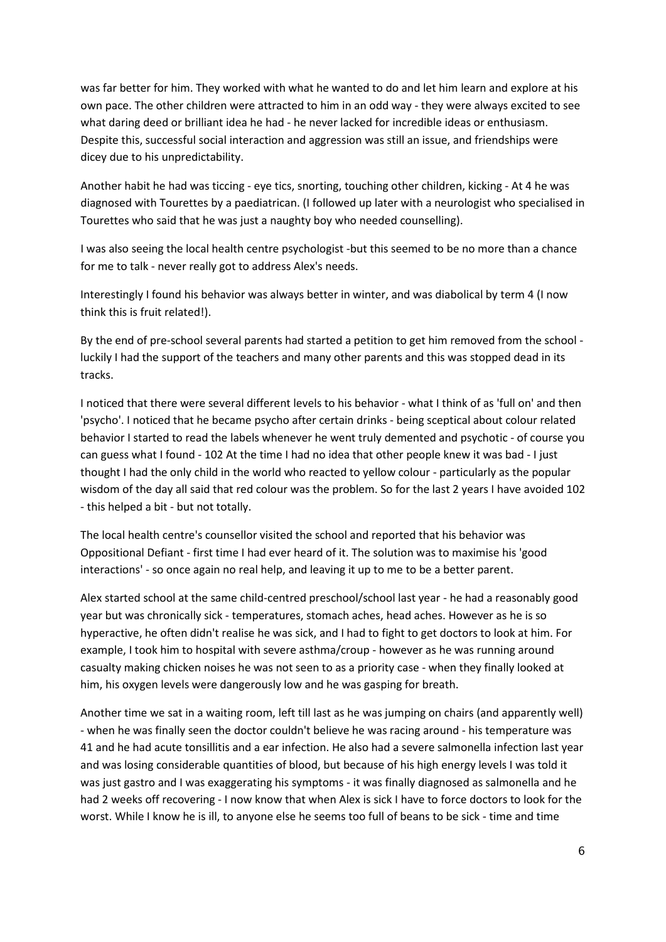was far better for him. They worked with what he wanted to do and let him learn and explore at his own pace. The other children were attracted to him in an odd way - they were always excited to see what daring deed or brilliant idea he had - he never lacked for incredible ideas or enthusiasm. Despite this, successful social interaction and aggression was still an issue, and friendships were dicey due to his unpredictability.

Another habit he had was ticcing - eye tics, snorting, touching other children, kicking - At 4 he was diagnosed with Tourettes by a paediatrican. (I followed up later with a neurologist who specialised in Tourettes who said that he was just a naughty boy who needed counselling).

I was also seeing the local health centre psychologist -but this seemed to be no more than a chance for me to talk - never really got to address Alex's needs.

Interestingly I found his behavior was always better in winter, and was diabolical by term 4 (I now think this is fruit related!).

By the end of pre-school several parents had started a petition to get him removed from the school luckily I had the support of the teachers and many other parents and this was stopped dead in its tracks.

I noticed that there were several different levels to his behavior - what I think of as 'full on' and then 'psycho'. I noticed that he became psycho after certain drinks - being sceptical about colour related behavior I started to read the labels whenever he went truly demented and psychotic - of course you can guess what I found - 102 At the time I had no idea that other people knew it was bad - I just thought I had the only child in the world who reacted to yellow colour - particularly as the popular wisdom of the day all said that red colour was the problem. So for the last 2 years I have avoided 102 - this helped a bit - but not totally.

The local health centre's counsellor visited the school and reported that his behavior was Oppositional Defiant - first time I had ever heard of it. The solution was to maximise his 'good interactions' - so once again no real help, and leaving it up to me to be a better parent.

Alex started school at the same child-centred preschool/school last year - he had a reasonably good year but was chronically sick - temperatures, stomach aches, head aches. However as he is so hyperactive, he often didn't realise he was sick, and I had to fight to get doctors to look at him. For example, I took him to hospital with severe asthma/croup - however as he was running around casualty making chicken noises he was not seen to as a priority case - when they finally looked at him, his oxygen levels were dangerously low and he was gasping for breath.

Another time we sat in a waiting room, left till last as he was jumping on chairs (and apparently well) - when he was finally seen the doctor couldn't believe he was racing around - his temperature was 41 and he had acute tonsillitis and a ear infection. He also had a severe salmonella infection last year and was losing considerable quantities of blood, but because of his high energy levels I was told it was just gastro and I was exaggerating his symptoms - it was finally diagnosed as salmonella and he had 2 weeks off recovering - I now know that when Alex is sick I have to force doctors to look for the worst. While I know he is ill, to anyone else he seems too full of beans to be sick - time and time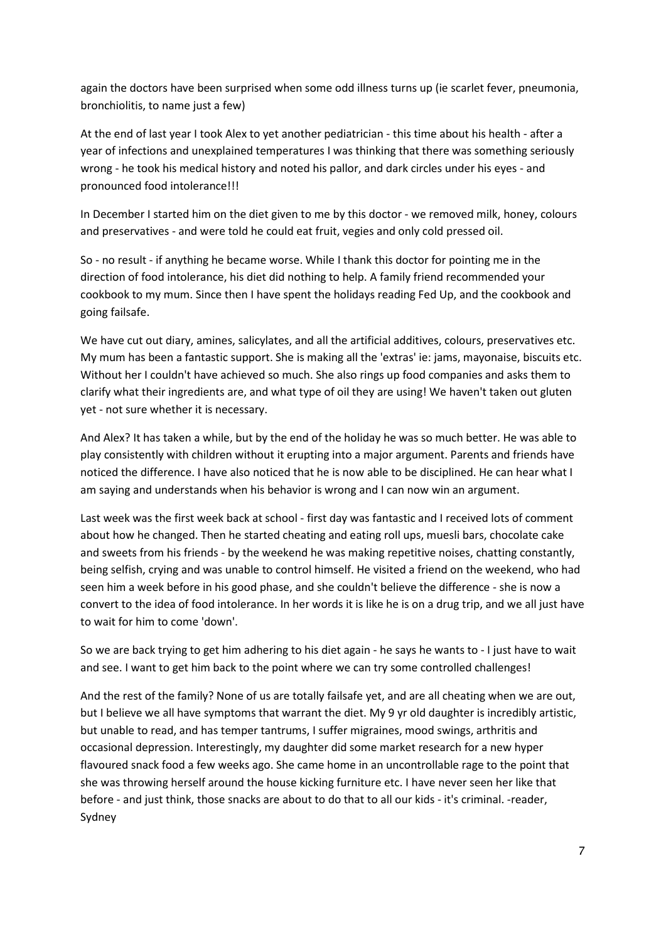again the doctors have been surprised when some odd illness turns up (ie scarlet fever, pneumonia, bronchiolitis, to name just a few)

At the end of last year I took Alex to yet another pediatrician - this time about his health - after a year of infections and unexplained temperatures I was thinking that there was something seriously wrong - he took his medical history and noted his pallor, and dark circles under his eyes - and pronounced food intolerance!!!

In December I started him on the diet given to me by this doctor - we removed milk, honey, colours and preservatives - and were told he could eat fruit, vegies and only cold pressed oil.

So - no result - if anything he became worse. While I thank this doctor for pointing me in the direction of food intolerance, his diet did nothing to help. A family friend recommended your cookbook to my mum. Since then I have spent the holidays reading Fed Up, and the cookbook and going failsafe.

We have cut out diary, amines, salicylates, and all the artificial additives, colours, preservatives etc. My mum has been a fantastic support. She is making all the 'extras' ie: jams, mayonaise, biscuits etc. Without her I couldn't have achieved so much. She also rings up food companies and asks them to clarify what their ingredients are, and what type of oil they are using! We haven't taken out gluten yet - not sure whether it is necessary.

And Alex? It has taken a while, but by the end of the holiday he was so much better. He was able to play consistently with children without it erupting into a major argument. Parents and friends have noticed the difference. I have also noticed that he is now able to be disciplined. He can hear what I am saying and understands when his behavior is wrong and I can now win an argument.

Last week was the first week back at school - first day was fantastic and I received lots of comment about how he changed. Then he started cheating and eating roll ups, muesli bars, chocolate cake and sweets from his friends - by the weekend he was making repetitive noises, chatting constantly, being selfish, crying and was unable to control himself. He visited a friend on the weekend, who had seen him a week before in his good phase, and she couldn't believe the difference - she is now a convert to the idea of food intolerance. In her words it is like he is on a drug trip, and we all just have to wait for him to come 'down'.

So we are back trying to get him adhering to his diet again - he says he wants to - I just have to wait and see. I want to get him back to the point where we can try some controlled challenges!

And the rest of the family? None of us are totally failsafe yet, and are all cheating when we are out, but I believe we all have symptoms that warrant the diet. My 9 yr old daughter is incredibly artistic, but unable to read, and has temper tantrums, I suffer migraines, mood swings, arthritis and occasional depression. Interestingly, my daughter did some market research for a new hyper flavoured snack food a few weeks ago. She came home in an uncontrollable rage to the point that she was throwing herself around the house kicking furniture etc. I have never seen her like that before - and just think, those snacks are about to do that to all our kids - it's criminal. -reader, Sydney